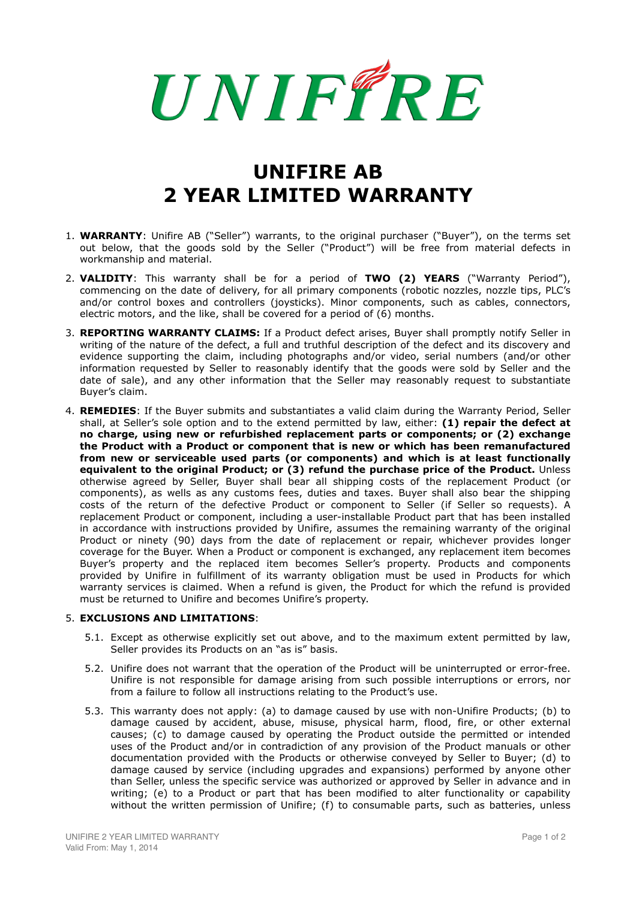## UNIFFRE

## **UNIFIRE AB 2 YEAR LIMITED WARRANTY**

- 1. **WARRANTY**: Unifire AB ("Seller") warrants, to the original purchaser ("Buyer"), on the terms set out below, that the goods sold by the Seller ("Product") will be free from material defects in workmanship and material.
- 2. **VALIDITY**: This warranty shall be for a period of **TWO (2) YEARS** ("Warranty Period"), commencing on the date of delivery, for all primary components (robotic nozzles, nozzle tips, PLC's and/or control boxes and controllers (joysticks). Minor components, such as cables, connectors, electric motors, and the like, shall be covered for a period of (6) months.
- 3. **REPORTING WARRANTY CLAIMS:** If a Product defect arises, Buyer shall promptly notify Seller in writing of the nature of the defect, a full and truthful description of the defect and its discovery and evidence supporting the claim, including photographs and/or video, serial numbers (and/or other information requested by Seller to reasonably identify that the goods were sold by Seller and the date of sale), and any other information that the Seller may reasonably request to substantiate Buyer's claim.
- 4. **REMEDIES**: If the Buyer submits and substantiates a valid claim during the Warranty Period, Seller shall, at Seller's sole option and to the extend permitted by law, either: **(1) repair the defect at no charge, using new or refurbished replacement parts or components; or (2) exchange the Product with a Product or component that is new or which has been remanufactured from new or serviceable used parts (or components) and which is at least functionally equivalent to the original Product; or (3) refund the purchase price of the Product.** Unless otherwise agreed by Seller, Buyer shall bear all shipping costs of the replacement Product (or components), as wells as any customs fees, duties and taxes. Buyer shall also bear the shipping costs of the return of the defective Product or component to Seller (if Seller so requests). A replacement Product or component, including a user-installable Product part that has been installed in accordance with instructions provided by Unifire, assumes the remaining warranty of the original Product or ninety (90) days from the date of replacement or repair, whichever provides longer coverage for the Buyer. When a Product or component is exchanged, any replacement item becomes Buyer's property and the replaced item becomes Seller's property. Products and components provided by Unifire in fulfillment of its warranty obligation must be used in Products for which warranty services is claimed. When a refund is given, the Product for which the refund is provided must be returned to Unifire and becomes Unifire's property.

## 5. **EXCLUSIONS AND LIMITATIONS**:

- 5.1. Except as otherwise explicitly set out above, and to the maximum extent permitted by law, Seller provides its Products on an "as is" basis.
- 5.2. Unifire does not warrant that the operation of the Product will be uninterrupted or error-free. Unifire is not responsible for damage arising from such possible interruptions or errors, nor from a failure to follow all instructions relating to the Product's use.
- 5.3. This warranty does not apply: (a) to damage caused by use with non-Unifire Products; (b) to damage caused by accident, abuse, misuse, physical harm, flood, fire, or other external causes; (c) to damage caused by operating the Product outside the permitted or intended uses of the Product and/or in contradiction of any provision of the Product manuals or other documentation provided with the Products or otherwise conveyed by Seller to Buyer; (d) to damage caused by service (including upgrades and expansions) performed by anyone other than Seller, unless the specific service was authorized or approved by Seller in advance and in writing; (e) to a Product or part that has been modified to alter functionality or capability without the written permission of Unifire; (f) to consumable parts, such as batteries, unless